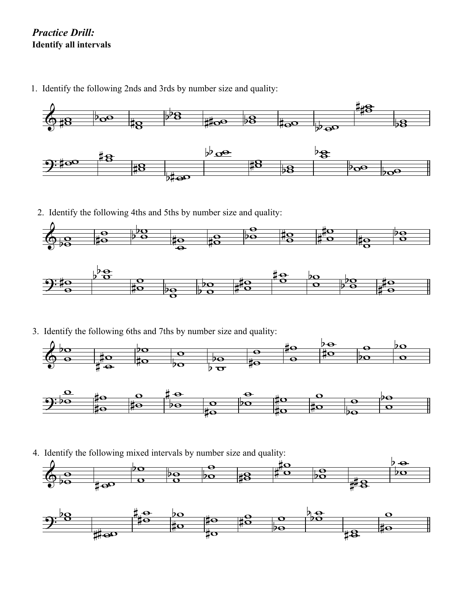## *Practice Drill:* **Identify all intervals**

1. Identify the following 2nds and 3rds by number size and quality:



2. Identify the following 4ths and 5ths by number size and quality:



3. Identify the following 6ths and 7ths by number size and quality:





4. Identify the following mixed intervals by number size and quality: